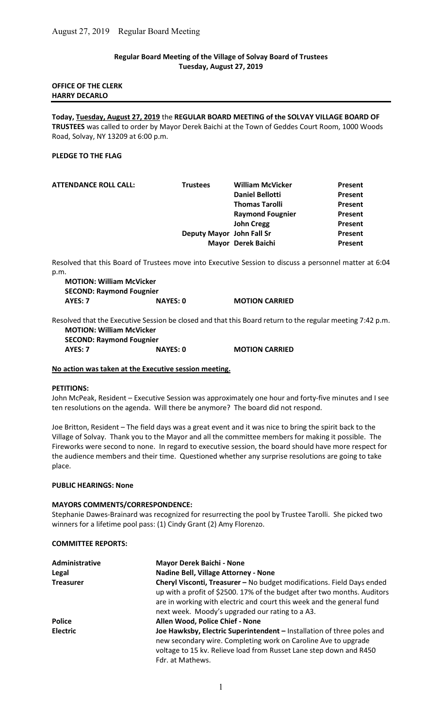## Regular Board Meeting of the Village of Solvay Board of Trustees Tuesday, August 27, 2019

## OFFICE OF THE CLERK HARRY DECARLO

Today, Tuesday, August 27, 2019 the REGULAR BOARD MEETING of the SOLVAY VILLAGE BOARD OF TRUSTEES was called to order by Mayor Derek Baichi at the Town of Geddes Court Room, 1000 Woods Road, Solvay, NY 13209 at 6:00 p.m.

## PLEDGE TO THE FLAG

| <b>ATTENDANCE ROLL CALL:</b> | <b>Trustees</b> | <b>William McVicker</b>   | Present        |
|------------------------------|-----------------|---------------------------|----------------|
|                              |                 | <b>Daniel Bellotti</b>    | Present        |
|                              |                 | <b>Thomas Tarolli</b>     | <b>Present</b> |
|                              |                 | <b>Raymond Fougnier</b>   | Present        |
|                              |                 | <b>John Cregg</b>         | Present        |
|                              |                 | Deputy Mayor John Fall Sr | Present        |
|                              |                 | Mayor Derek Baichi        | Present        |
|                              |                 |                           |                |

Resolved that this Board of Trustees move into Executive Session to discuss a personnel matter at 6:04 p.m.

MOTION: William McVicker SECOND: Raymond Fougnier AYES: 7 NAYES: 0 MOTION CARRIED

Resolved that the Executive Session be closed and that this Board return to the regular meeting 7:42 p.m. MOTION: William McVicker

SECOND: Raymond Fougnier AYES: 7 NAYES: 0 MOTION CARRIED

## No action was taken at the Executive session meeting.

## PETITIONS:

John McPeak, Resident – Executive Session was approximately one hour and forty-five minutes and I see ten resolutions on the agenda. Will there be anymore? The board did not respond.

Joe Britton, Resident – The field days was a great event and it was nice to bring the spirit back to the Village of Solvay. Thank you to the Mayor and all the committee members for making it possible. The Fireworks were second to none. In regard to executive session, the board should have more respect for the audience members and their time. Questioned whether any surprise resolutions are going to take place.

#### PUBLIC HEARINGS: None

## MAYORS COMMENTS/CORRESPONDENCE:

Stephanie Dawes-Brainard was recognized for resurrecting the pool by Trustee Tarolli. She picked two winners for a lifetime pool pass: (1) Cindy Grant (2) Amy Florenzo.

#### COMMITTEE REPORTS:

| Administrative   | <b>Mayor Derek Baichi - None</b>                                                                                                                                                                                                                                               |
|------------------|--------------------------------------------------------------------------------------------------------------------------------------------------------------------------------------------------------------------------------------------------------------------------------|
| Legal            | Nadine Bell, Village Attorney - None                                                                                                                                                                                                                                           |
| <b>Treasurer</b> | Cheryl Visconti, Treasurer - No budget modifications. Field Days ended<br>up with a profit of \$2500. 17% of the budget after two months. Auditors<br>are in working with electric and court this week and the general fund<br>next week. Moody's upgraded our rating to a A3. |
| <b>Police</b>    | Allen Wood, Police Chief - None                                                                                                                                                                                                                                                |
| <b>Electric</b>  | Joe Hawksby, Electric Superintendent - Installation of three poles and<br>new secondary wire. Completing work on Caroline Ave to upgrade<br>voltage to 15 kv. Relieve load from Russet Lane step down and R450<br>Fdr. at Mathews.                                             |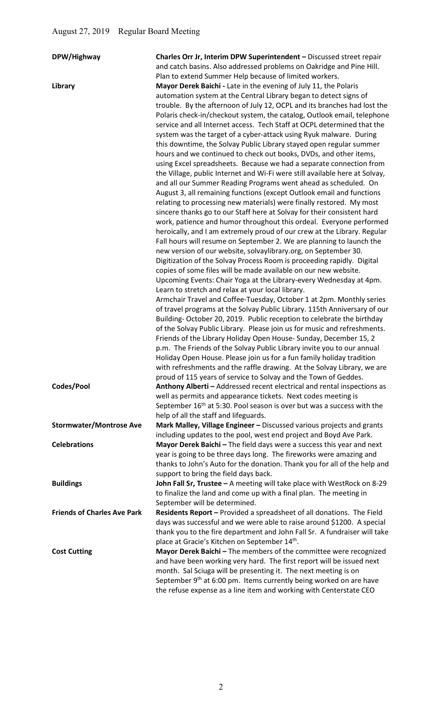| DPW/Highway                        | Charles Orr Jr, Interim DPW Superintendent - Discussed street repair                                                                       |
|------------------------------------|--------------------------------------------------------------------------------------------------------------------------------------------|
|                                    | and catch basins. Also addressed problems on Oakridge and Pine Hill.                                                                       |
|                                    | Plan to extend Summer Help because of limited workers.                                                                                     |
| Library                            | Mayor Derek Baichi - Late in the evening of July 11, the Polaris                                                                           |
|                                    | automation system at the Central Library began to detect signs of                                                                          |
|                                    | trouble. By the afternoon of July 12, OCPL and its branches had lost the                                                                   |
|                                    | Polaris check-in/checkout system, the catalog, Outlook email, telephone                                                                    |
|                                    | service and all Internet access. Tech Staff at OCPL determined that the                                                                    |
|                                    | system was the target of a cyber-attack using Ryuk malware. During                                                                         |
|                                    | this downtime, the Solvay Public Library stayed open regular summer                                                                        |
|                                    | hours and we continued to check out books, DVDs, and other items,                                                                          |
|                                    | using Excel spreadsheets. Because we had a separate connection from                                                                        |
|                                    | the Village, public Internet and Wi-Fi were still available here at Solvay,                                                                |
|                                    | and all our Summer Reading Programs went ahead as scheduled. On                                                                            |
|                                    | August 3, all remaining functions (except Outlook email and functions                                                                      |
|                                    | relating to processing new materials) were finally restored. My most                                                                       |
|                                    | sincere thanks go to our Staff here at Solvay for their consistent hard                                                                    |
|                                    | work, patience and humor throughout this ordeal. Everyone performed                                                                        |
|                                    | heroically, and I am extremely proud of our crew at the Library. Regular                                                                   |
|                                    | Fall hours will resume on September 2. We are planning to launch the                                                                       |
|                                    | new version of our website, solvaylibrary.org, on September 30.                                                                            |
|                                    | Digitization of the Solvay Process Room is proceeding rapidly. Digital                                                                     |
|                                    | copies of some files will be made available on our new website.                                                                            |
|                                    | Upcoming Events: Chair Yoga at the Library-every Wednesday at 4pm.                                                                         |
|                                    | Learn to stretch and relax at your local library.                                                                                          |
|                                    | Armchair Travel and Coffee-Tuesday, October 1 at 2pm. Monthly series                                                                       |
|                                    | of travel programs at the Solvay Public Library. 115th Anniversary of our                                                                  |
|                                    | Building-October 20, 2019. Public reception to celebrate the birthday                                                                      |
|                                    | of the Solvay Public Library. Please join us for music and refreshments.                                                                   |
|                                    | Friends of the Library Holiday Open House-Sunday, December 15, 2                                                                           |
|                                    | p.m. The Friends of the Solvay Public Library invite you to our annual                                                                     |
|                                    | Holiday Open House. Please join us for a fun family holiday tradition                                                                      |
|                                    | with refreshments and the raffle drawing. At the Solvay Library, we are<br>proud of 115 years of service to Solvay and the Town of Geddes. |
| Codes/Pool                         |                                                                                                                                            |
|                                    | Anthony Alberti - Addressed recent electrical and rental inspections as<br>well as permits and appearance tickets. Next codes meeting is   |
|                                    | September 16 <sup>th</sup> at 5:30. Pool season is over but was a success with the                                                         |
|                                    | help of all the staff and lifeguards.                                                                                                      |
| <b>Stormwater/Montrose Ave</b>     | Mark Malley, Village Engineer - Discussed various projects and grants                                                                      |
|                                    | including updates to the pool, west end project and Boyd Ave Park.                                                                         |
| <b>Celebrations</b>                | Mayor Derek Baichi - The field days were a success this year and next                                                                      |
|                                    | year is going to be three days long. The fireworks were amazing and                                                                        |
|                                    | thanks to John's Auto for the donation. Thank you for all of the help and                                                                  |
|                                    | support to bring the field days back.                                                                                                      |
| <b>Buildings</b>                   | John Fall Sr, Trustee - A meeting will take place with WestRock on 8-29                                                                    |
|                                    | to finalize the land and come up with a final plan. The meeting in                                                                         |
|                                    | September will be determined.                                                                                                              |
| <b>Friends of Charles Ave Park</b> | Residents Report - Provided a spreadsheet of all donations. The Field                                                                      |
|                                    | days was successful and we were able to raise around \$1200. A special                                                                     |
|                                    | thank you to the fire department and John Fall Sr. A fundraiser will take                                                                  |
|                                    | place at Gracie's Kitchen on September 14th.                                                                                               |
| <b>Cost Cutting</b>                | Mayor Derek Baichi - The members of the committee were recognized                                                                          |
|                                    | and have been working very hard. The first report will be issued next                                                                      |
|                                    | month. Sal Sciuga will be presenting it. The next meeting is on                                                                            |
|                                    | September 9 <sup>th</sup> at 6:00 pm. Items currently being worked on are have                                                             |
|                                    | the refuse expense as a line item and working with Centerstate CEO                                                                         |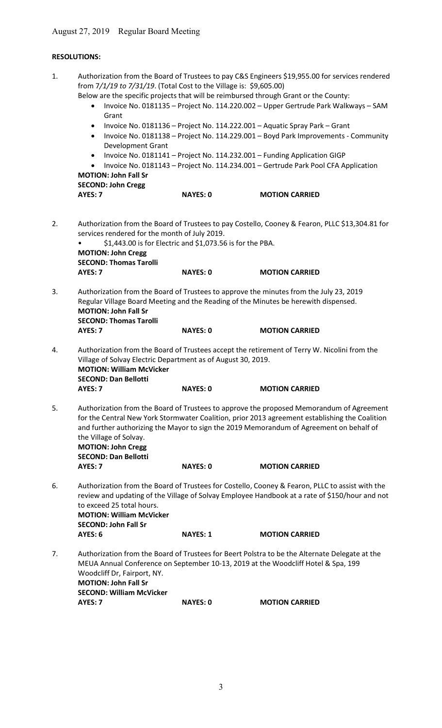# RESOLUTIONS:

| 1. | from 7/1/19 to 7/31/19. (Total Cost to the Village is: \$9,605.00)<br>Below are the specific projects that will be reimbursed through Grant or the County:<br>$\bullet$<br>Grant<br>$\bullet$<br>$\bullet$<br><b>Development Grant</b><br>$\bullet$<br>$\bullet$<br><b>MOTION: John Fall Sr</b><br><b>SECOND: John Cregg</b> |                                                           | Authorization from the Board of Trustees to pay C&S Engineers \$19,955.00 for services rendered<br>Invoice No. 0181135 - Project No. 114.220.002 - Upper Gertrude Park Walkways - SAM<br>Invoice No. 0181136 - Project No. 114.222.001 - Aquatic Spray Park - Grant<br>Invoice No. 0181138 - Project No. 114.229.001 - Boyd Park Improvements - Community<br>Invoice No. 0181141 - Project No. 114.232.001 - Funding Application GIGP<br>Invoice No. 0181143 - Project No. 114.234.001 - Gertrude Park Pool CFA Application |
|----|------------------------------------------------------------------------------------------------------------------------------------------------------------------------------------------------------------------------------------------------------------------------------------------------------------------------------|-----------------------------------------------------------|-----------------------------------------------------------------------------------------------------------------------------------------------------------------------------------------------------------------------------------------------------------------------------------------------------------------------------------------------------------------------------------------------------------------------------------------------------------------------------------------------------------------------------|
|    | AYES: 7                                                                                                                                                                                                                                                                                                                      | <b>NAYES: 0</b>                                           | <b>MOTION CARRIED</b>                                                                                                                                                                                                                                                                                                                                                                                                                                                                                                       |
| 2. | services rendered for the month of July 2019.<br><b>MOTION: John Cregg</b><br><b>SECOND: Thomas Tarolli</b>                                                                                                                                                                                                                  | \$1,443.00 is for Electric and \$1,073.56 is for the PBA. | Authorization from the Board of Trustees to pay Costello, Cooney & Fearon, PLLC \$13,304.81 for                                                                                                                                                                                                                                                                                                                                                                                                                             |
|    | AYES: 7                                                                                                                                                                                                                                                                                                                      | <b>NAYES: 0</b>                                           | <b>MOTION CARRIED</b>                                                                                                                                                                                                                                                                                                                                                                                                                                                                                                       |
| 3. | <b>MOTION: John Fall Sr</b><br><b>SECOND: Thomas Tarolli</b>                                                                                                                                                                                                                                                                 |                                                           | Authorization from the Board of Trustees to approve the minutes from the July 23, 2019<br>Regular Village Board Meeting and the Reading of the Minutes be herewith dispensed.                                                                                                                                                                                                                                                                                                                                               |
|    | AYES: 7                                                                                                                                                                                                                                                                                                                      | <b>NAYES: 0</b>                                           | <b>MOTION CARRIED</b>                                                                                                                                                                                                                                                                                                                                                                                                                                                                                                       |
| 4. | Village of Solvay Electric Department as of August 30, 2019.<br><b>MOTION: William McVicker</b><br><b>SECOND: Dan Bellotti</b><br>AYES: 7                                                                                                                                                                                    | <b>NAYES: 0</b>                                           | Authorization from the Board of Trustees accept the retirement of Terry W. Nicolini from the<br><b>MOTION CARRIED</b>                                                                                                                                                                                                                                                                                                                                                                                                       |
|    |                                                                                                                                                                                                                                                                                                                              |                                                           |                                                                                                                                                                                                                                                                                                                                                                                                                                                                                                                             |
| 5. | the Village of Solvay.<br><b>MOTION: John Cregg</b><br><b>SECOND: Dan Bellotti</b>                                                                                                                                                                                                                                           |                                                           | Authorization from the Board of Trustees to approve the proposed Memorandum of Agreement<br>for the Central New York Stormwater Coalition, prior 2013 agreement establishing the Coalition<br>and further authorizing the Mayor to sign the 2019 Memorandum of Agreement on behalf of                                                                                                                                                                                                                                       |
|    | AYES: 7                                                                                                                                                                                                                                                                                                                      | <b>NAYES: 0</b>                                           | <b>MOTION CARRIED</b>                                                                                                                                                                                                                                                                                                                                                                                                                                                                                                       |
| 6. | Authorization from the Board of Trustees for Costello, Cooney & Fearon, PLLC to assist with the<br>review and updating of the Village of Solvay Employee Handbook at a rate of \$150/hour and not<br>to exceed 25 total hours.<br><b>MOTION: William McVicker</b><br><b>SECOND: John Fall Sr</b>                             |                                                           |                                                                                                                                                                                                                                                                                                                                                                                                                                                                                                                             |
|    | AYES: 6                                                                                                                                                                                                                                                                                                                      | <b>NAYES: 1</b>                                           | <b>MOTION CARRIED</b>                                                                                                                                                                                                                                                                                                                                                                                                                                                                                                       |
| 7. | Woodcliff Dr, Fairport, NY.<br><b>MOTION: John Fall Sr</b><br><b>SECOND: William McVicker</b>                                                                                                                                                                                                                                |                                                           | Authorization from the Board of Trustees for Beert Polstra to be the Alternate Delegate at the<br>MEUA Annual Conference on September 10-13, 2019 at the Woodcliff Hotel & Spa, 199                                                                                                                                                                                                                                                                                                                                         |
|    | AYES: 7                                                                                                                                                                                                                                                                                                                      | <b>NAYES: 0</b>                                           | <b>MOTION CARRIED</b>                                                                                                                                                                                                                                                                                                                                                                                                                                                                                                       |
|    |                                                                                                                                                                                                                                                                                                                              |                                                           |                                                                                                                                                                                                                                                                                                                                                                                                                                                                                                                             |